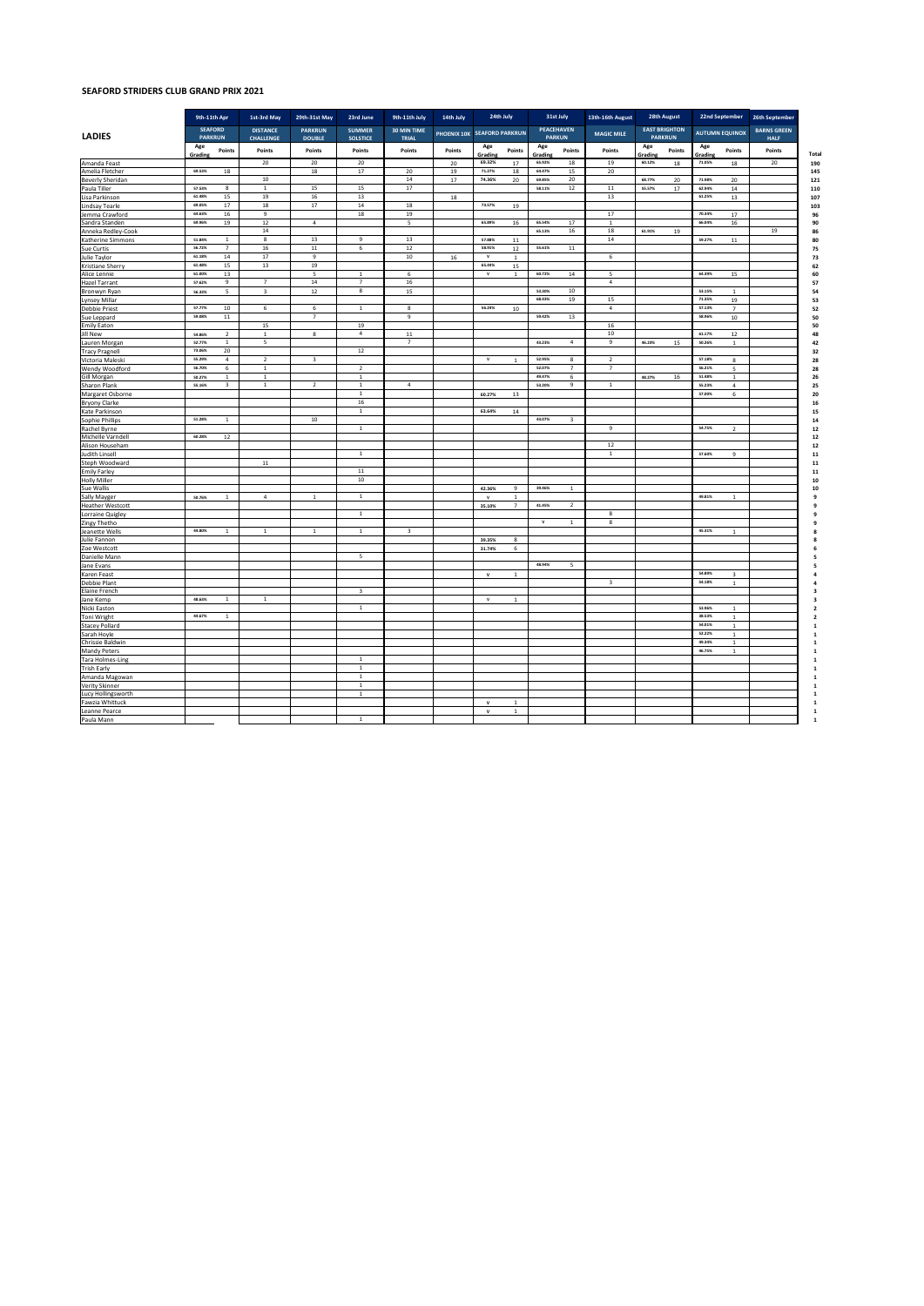## **SEAFORD STRIDERS CLUB GRAND PRIX 2021**

|                                        |                                  | 9th-11th Apr     | 1st-3rd May                         | 29th-31st May                   | 23rd June                        | 9th-11th July           | 14th July   | 24th July                    |                | 31st July                          |                         | 13th-16th August        | 28th August                            |        | 22nd September        |                         | 26th September                    |
|----------------------------------------|----------------------------------|------------------|-------------------------------------|---------------------------------|----------------------------------|-------------------------|-------------|------------------------------|----------------|------------------------------------|-------------------------|-------------------------|----------------------------------------|--------|-----------------------|-------------------------|-----------------------------------|
| <b>LADIES</b>                          | <b>SEAFORD</b><br><b>PARKRUN</b> |                  | <b>DISTANCE</b><br><b>CHALLENGE</b> | <b>PARKRUN</b><br><b>DOUBLE</b> | <b>SUMMER</b><br><b>SOLSTICE</b> | 30 MIN TIME<br>TRIAL    | PHOENIX 10K | <b>SEAFORD PARKRUN</b>       |                | <b>PEACEHAVEN</b><br><b>PARKUN</b> |                         | <b>MAGIC MILE</b>       | <b>EAST BRIGHTON</b><br><b>PARKRUN</b> |        | <b>AUTUMN EQUINOX</b> |                         | <b>BARNS GREEN</b><br><b>HALF</b> |
|                                        | Age<br>Grading                   | Points           | Points                              | Points                          | Points                           | Points                  | Points      | Age<br>Grading               | Points         | Age<br>Grading                     | Points                  | Points                  | Age<br><b>Grading</b>                  | Points | Age<br>Grading        | Points                  | Points<br>Tota                    |
| Amanda Feast                           |                                  |                  | $20\,$                              | $20\,$                          | 20                               |                         | 20          | 69.32%                       | 17             | 65.92%                             | $18\,$                  | 19                      | 60.12%                                 | 18     | 71.05%                | 18                      | $20\,$                            |
| Amelia Fletcher                        | 69.53%                           | 18               |                                     | 18                              | 17                               | 20                      | 19          | 71.27%                       | $18\,$         | 64.47%                             | 15                      | 20                      |                                        |        |                       |                         |                                   |
| Beverly Sheridan                       |                                  |                  | $10$                                |                                 |                                  | 14                      | 17          | 74.36%                       | $20\degree$    | 69.85%                             | 20                      |                         | 68.77%                                 | 20     | 71,98%                | $20\,$                  |                                   |
| Paula Tiller                           | 57.53%                           | 8                | $\,$ 1 $\,$                         | 15                              | 15                               | $17\,$                  |             |                              |                | 58.11%                             | $12\,$                  | 11                      | 55.57%                                 | 17     | 62.94%                | 14                      |                                   |
| Lisa Parkinson                         | 61,48%                           | 15               | 19                                  | $16\,$                          | 13                               |                         | 18          |                              |                |                                    |                         | 13                      |                                        |        | 61.25%                | 13                      |                                   |
| <b>Lindsay Tearle</b>                  | 69.05%                           | 17               | $18\,$                              | 17                              | 14                               | 18                      |             | 73.57%                       | 19             |                                    |                         |                         |                                        |        |                       |                         |                                   |
| Jemma Crawford                         | 64.63%                           | 16               | $\boldsymbol{9}$                    |                                 | 18                               | 19                      |             |                              |                |                                    |                         | 17                      |                                        |        | 70.34%                | 17                      |                                   |
| Sandra Standen                         | 69.96%                           | 19               | 12                                  | $\overline{4}$                  |                                  | 5                       |             | 65.89%                       | $16\,$         | 65.54%                             | 17                      | $\overline{1}$          |                                        |        | 66.04%                | $16\,$                  |                                   |
| Anneka Redley-Cook                     |                                  |                  | $14\,$                              |                                 |                                  |                         |             |                              |                | 65.13%                             | 16                      | 18                      | 61.91%                                 | 19     |                       |                         | 19                                |
| Katherine Simmons                      | 51,84%                           | $1\,$            | $\overline{\mathbf{8}}$             | 13                              | $\overline{9}$                   | 13                      |             | 57.88%                       | $11\,$         |                                    |                         | 14                      |                                        |        | 59.27%                | ${\bf 11}$              |                                   |
| Sue Curtis                             | 56.72%<br>61.18%                 | $\overline{7}$   | $16\,$                              | $11\,$                          | 6                                | 12                      |             | 58.91%<br>$\mathbf{v}$       | $12\,$         | 55.61%                             | $11\,$                  |                         |                                        |        |                       |                         |                                   |
| Julie Taylor                           | 61.48%                           | 14<br>15         | $17\,$<br>13                        | $\,9$<br>19                     |                                  | 10                      | $16\,$      | 65.44%                       | $\mathbf{1}$   |                                    |                         | $\,$ 6                  |                                        |        |                       |                         |                                   |
| Kristiane Sherry                       | 61.00%                           | 13               |                                     |                                 |                                  |                         |             | $\overline{\mathbf{v}}$      | 15             | 60.72%                             | 14                      |                         |                                        |        | 64.39%                |                         |                                   |
| Alice Lennie                           | 57.62%                           |                  |                                     | 5                               | $\,$ 1 $\,$                      | 6                       |             |                              | $\,$ 1 $\,$    |                                    |                         | 5                       |                                        |        |                       | $15\,$                  |                                   |
| Hazel Tarrant                          |                                  | $\boldsymbol{9}$ | $\overline{\phantom{a}}$            | $14\,$                          | $\overline{\phantom{a}}$<br>8    | $16\,$                  |             |                              |                | 53.30%                             | 10                      | $\bf{4}$                |                                        |        | 53.15%                | $\mathbf{1}$            |                                   |
| Bronwyn Ryan                           | 56.33%                           | $\sf S$          | $\overline{\mathbf{3}}$             | $12\,$                          |                                  | 15                      |             |                              |                | 68.43%                             | 19                      | 15                      |                                        |        | 71.35%                | 19                      |                                   |
| <b>Lynsey Millar</b>                   | 57.77%                           | $10\,$           | 6                                   | 6                               | $\,$ 1 $\,$                      | 8                       |             | 56.24%                       | 10             |                                    |                         | $\boldsymbol{4}$        |                                        |        | 57.13%                | $\overline{7}$          |                                   |
| <b>Debbie Priest</b>                   | 59.08%                           | $11\,$           |                                     | $\overline{7}$                  |                                  | $\,9$                   |             |                              |                | 59.42%                             | 13                      |                         |                                        |        | 58.96%                |                         |                                   |
| Sue Leppard<br><b>Emily Eaton</b>      |                                  |                  | 15                                  |                                 | 19                               |                         |             |                              |                |                                    |                         | 16                      |                                        |        |                       | $10\,$                  |                                   |
| <b>Jill New</b>                        | 54.86%                           | $\overline{2}$   | $\,$ 1                              | 8                               | $\overline{4}$                   | $11\,$                  |             |                              |                |                                    |                         | 10                      |                                        |        | 61.17%                | 12                      |                                   |
|                                        | 52.77%                           | $1\,$            | 5                                   |                                 |                                  | $\overline{7}$          |             |                              |                | 43.23%                             | $\sqrt{4}$              | 9                       | 46.23%                                 | 15     | 50.26%                | $\,$ 1 $\,$             |                                   |
| Lauren Morgan<br><b>Tracy Pragnell</b> | 73.06%                           | 20               |                                     |                                 | $12\,$                           |                         |             |                              |                |                                    |                         |                         |                                        |        |                       |                         |                                   |
| Victoria Maleski                       | 55.29%                           | $\overline{4}$   | $\overline{2}$                      | $\mathbf 3$                     |                                  |                         |             | $\mathsf{v}$                 | <sup>1</sup>   | 52.95%                             | 8                       | $\overline{2}$          |                                        |        | 57.18%                | $\boldsymbol{8}$        |                                   |
| Wendy Woodford                         | 56.70%                           | 6                | $\,$ 1                              |                                 | $\overline{2}$                   |                         |             |                              |                | 52.07%                             | $\overline{7}$          | $\overline{7}$          |                                        |        | 56.21%                | 5                       |                                   |
| Gill Morgan                            | 50.27%                           | $1\,$            | $\overline{1}$                      |                                 | $1\,$                            |                         |             |                              |                | 49.47%                             | $\,$ 6                  |                         | 48.27%                                 | 16     | 51,48%                | $\mathbf{1}$            |                                   |
| Sharon Plank                           | 55.16%                           | 3                | $\mathbf{1}$                        | $\overline{2}$                  | 1                                | $\overline{4}$          |             |                              |                | 53.20%                             | $\mathsf{9}$            | $\mathbf{1}$            |                                        |        | 55.23%                | $\overline{a}$          |                                   |
| Margaret Osborne                       |                                  |                  |                                     |                                 | <sup>1</sup>                     |                         |             | 60.27%                       | 13             |                                    |                         |                         |                                        |        | 57.00%                | 6                       |                                   |
| <b>Bryony Clarke</b>                   |                                  |                  |                                     |                                 | 16                               |                         |             |                              |                |                                    |                         |                         |                                        |        |                       |                         |                                   |
| Kate Parkinson                         |                                  |                  |                                     |                                 | $\,$ 1 $\,$                      |                         |             | 63.64%                       | $14\,$         |                                    |                         |                         |                                        |        |                       |                         |                                   |
| Sophie Phillips                        | 51.28%                           | $\,1\,$          |                                     | 10                              |                                  |                         |             |                              |                | 43.07%                             | $\overline{\mathbf{3}}$ |                         |                                        |        |                       |                         |                                   |
| Rachel Byrne                           |                                  |                  |                                     |                                 | $\overline{1}$                   |                         |             |                              |                |                                    |                         | $\overline{9}$          |                                        |        | 54.75%                | $\overline{2}$          |                                   |
| Michelle Varndell                      | 60,28%                           | $12\,$           |                                     |                                 |                                  |                         |             |                              |                |                                    |                         |                         |                                        |        |                       |                         |                                   |
| Alison Househam                        |                                  |                  |                                     |                                 |                                  |                         |             |                              |                |                                    |                         | 12                      |                                        |        |                       |                         |                                   |
| Judith Linsell                         |                                  |                  |                                     |                                 | $\,$ 1 $\,$                      |                         |             |                              |                |                                    |                         | $\,$ 1 $\,$             |                                        |        | 57,60%                | $\boldsymbol{9}$        |                                   |
| Steph Woodward                         |                                  |                  | $11\,$                              |                                 |                                  |                         |             |                              |                |                                    |                         |                         |                                        |        |                       |                         |                                   |
| <b>Emily Farley</b>                    |                                  |                  |                                     |                                 | $11\,$                           |                         |             |                              |                |                                    |                         |                         |                                        |        |                       |                         |                                   |
| <b>Holly Miller</b>                    |                                  |                  |                                     |                                 | 10                               |                         |             |                              |                |                                    |                         |                         |                                        |        |                       |                         |                                   |
| Sue Wallis                             |                                  |                  |                                     |                                 |                                  |                         |             | 42.36%                       | 9              | 39,46%                             | $\mathbf{1}$            |                         |                                        |        |                       |                         |                                   |
| Sally Mayger                           | 50.76%                           | $\overline{1}$   | $\boldsymbol{4}$                    | $\mathbf{1}$                    | $\,$ 1 $\,$                      |                         |             | $\mathbf{v}$                 | $\mathbf 1$    |                                    |                         |                         |                                        |        | 49.81%                | $\,$ 1 $\,$             |                                   |
| <b>Heather Westcott</b>                |                                  |                  |                                     |                                 |                                  |                         |             | 35.10%                       | $\overline{7}$ | 41.45%                             | $\overline{2}$          |                         |                                        |        |                       |                         |                                   |
| Lorraine Quigley                       |                                  |                  |                                     |                                 | $\,$ 1 $\,$                      |                         |             |                              |                |                                    |                         | 8                       |                                        |        |                       |                         |                                   |
| Zingy Thetho                           |                                  |                  |                                     |                                 |                                  |                         |             |                              |                | $\mathbf{v}$                       | $\mathbf{1}$            | 8                       |                                        |        |                       |                         |                                   |
| Jeanette Wells                         | 44,80%                           | $\overline{1}$   | $\overline{1}$                      | $\mathbf{1}$                    | $\mathbf{1}$                     | $\overline{\mathbf{3}}$ |             |                              |                |                                    |                         |                         |                                        |        | 45.31%                | $\mathbf 1$             |                                   |
| Julie Fannon                           |                                  |                  |                                     |                                 |                                  |                         |             | 39.35%                       | 8              |                                    |                         |                         |                                        |        |                       |                         |                                   |
| Zoe Westcott                           |                                  |                  |                                     |                                 |                                  |                         |             | 31.74%                       | 6              |                                    |                         |                         |                                        |        |                       |                         |                                   |
| Danielle Mann                          |                                  |                  |                                     |                                 | 5                                |                         |             |                              |                |                                    |                         |                         |                                        |        |                       |                         |                                   |
| Jane Evans                             |                                  |                  |                                     |                                 |                                  |                         |             |                              |                | 48.94%                             | 5                       |                         |                                        |        |                       |                         |                                   |
| Karen Feast                            |                                  |                  |                                     |                                 |                                  |                         |             | $\mathsf{v}$                 | $\mathbf{1}$   |                                    |                         |                         |                                        |        | 54.89%                | $\overline{\mathbf{3}}$ |                                   |
| Debbie Plant                           |                                  |                  |                                     |                                 |                                  |                         |             |                              |                |                                    |                         | $\overline{\mathbf{3}}$ |                                        |        | 54.18%                | $\mathbf{1}$            |                                   |
| Elaine French                          |                                  |                  |                                     |                                 | 3                                |                         |             |                              |                |                                    |                         |                         |                                        |        |                       |                         |                                   |
| Jane Kemp                              | 48.63%                           | $1\,$            | $\,$ 1                              |                                 |                                  |                         |             | $\mathsf{v}$                 | $\mathbf{1}$   |                                    |                         |                         |                                        |        |                       |                         |                                   |
| Nicki Easton                           |                                  |                  |                                     |                                 | $\,$ 1 $\,$                      |                         |             |                              |                |                                    |                         |                         |                                        |        | 53.96%                | $\,$ 1 $\,$             |                                   |
| Toni Wright                            | 44.67%                           | $\mathbf 1$      |                                     |                                 |                                  |                         |             |                              |                |                                    |                         |                         |                                        |        | 38.53%<br>54.01%      | $\mathbf{1}$            |                                   |
| <b>Stacey Pollard</b>                  |                                  |                  |                                     |                                 |                                  |                         |             |                              |                |                                    |                         |                         |                                        |        | 52.22%                | $\,$ 1 $\,$             |                                   |
| Sarah Hoyle                            |                                  |                  |                                     |                                 |                                  |                         |             |                              |                |                                    |                         |                         |                                        |        | 49.34%                | $\,$ 1 $\,$             |                                   |
| Chrissie Baldwin                       |                                  |                  |                                     |                                 |                                  |                         |             |                              |                |                                    |                         |                         |                                        |        | 46,75%                | $\,$ 1 $\,$             |                                   |
| <b>Mandy Peters</b>                    |                                  |                  |                                     |                                 |                                  |                         |             |                              |                |                                    |                         |                         |                                        |        |                       | $\mathbf 1$             |                                   |
| <b>Tara Holmes-Ling</b>                |                                  |                  |                                     |                                 | $\,1\,$                          |                         |             |                              |                |                                    |                         |                         |                                        |        |                       |                         |                                   |
| <b>Trish Early</b>                     |                                  |                  |                                     |                                 | $\,$ 1 $\,$                      |                         |             |                              |                |                                    |                         |                         |                                        |        |                       |                         |                                   |
| Amanda Magowan                         |                                  |                  |                                     |                                 | $\,$ 1 $\,$                      |                         |             |                              |                |                                    |                         |                         |                                        |        |                       |                         |                                   |
| Verity Skinner                         |                                  |                  |                                     |                                 | $\,$ 1 $\,$<br>$\mathbf{1}$      |                         |             |                              |                |                                    |                         |                         |                                        |        |                       |                         |                                   |
| Lucy Hollingsworth                     |                                  |                  |                                     |                                 |                                  |                         |             |                              |                |                                    |                         |                         |                                        |        |                       |                         |                                   |
| Fawzia Whittuck                        |                                  |                  |                                     |                                 |                                  |                         |             | $\mathbf{v}$<br>$\mathbf{v}$ | $\mathbf{1}$   |                                    |                         |                         |                                        |        |                       |                         |                                   |
| Leanne Pearce                          |                                  |                  |                                     |                                 | $\mathbf{1}$                     |                         |             |                              | $\,1\,$        |                                    |                         |                         |                                        |        |                       |                         |                                   |
| Paula Mann                             |                                  |                  |                                     |                                 |                                  |                         |             |                              |                |                                    |                         |                         |                                        |        |                       |                         |                                   |